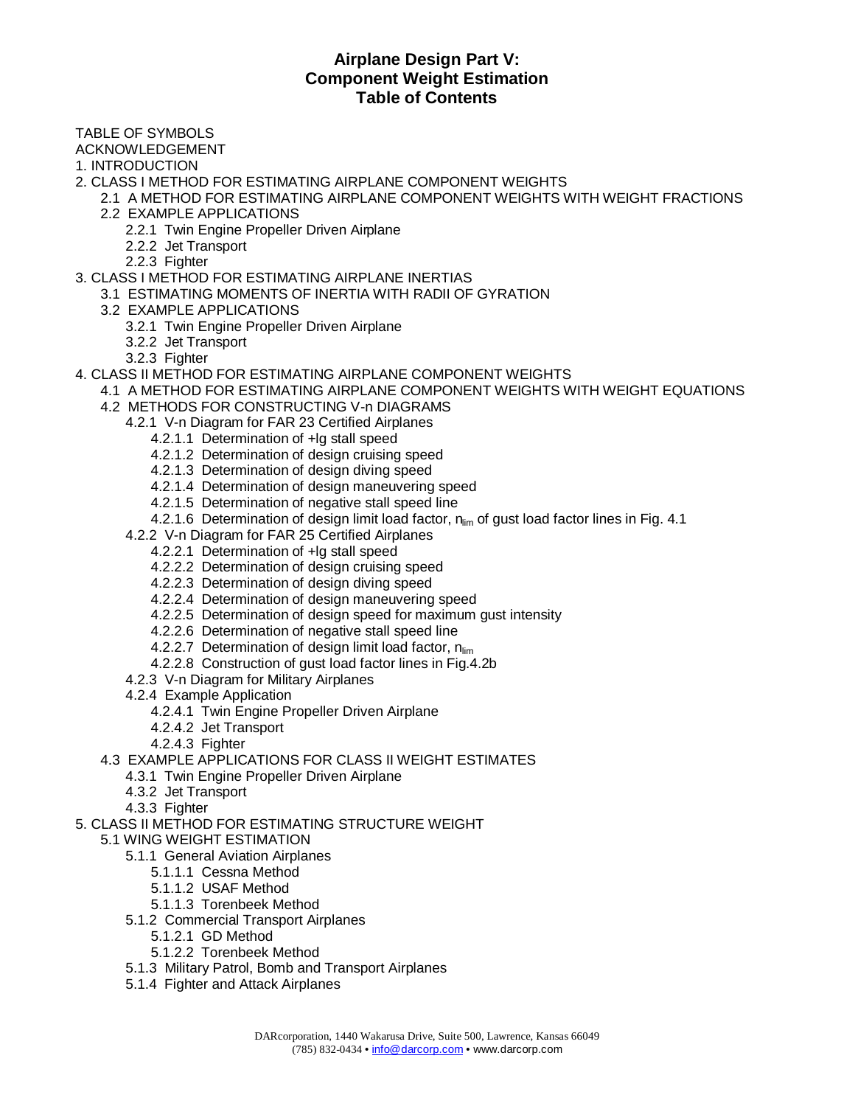TABLE OF SYMBOLS

ACKNOWLEDGEMENT

1. INTRODUCTION

- 2. CLASS I METHOD FOR ESTIMATING AIRPLANE COMPONENT WEIGHTS
- 2.1 A METHOD FOR ESTIMATING AIRPLANE COMPONENT WEIGHTS WITH WEIGHT FRACTIONS 2.2 EXAMPLE APPLICATIONS
	- 2.2.1 Twin Engine Propeller Driven Airplane
	- 2.2.2 Jet Transport
	- 2.2.3 Fighter
- 3. CLASS I METHOD FOR ESTIMATING AIRPLANE INERTIAS
	- 3.1 ESTIMATING MOMENTS OF INERTIA WITH RADII OF GYRATION
		- 3.2 EXAMPLE APPLICATIONS
			- 3.2.1 Twin Engine Propeller Driven Airplane
			- 3.2.2 Jet Transport
			- 3.2.3 Fighter
- 4. CLASS II METHOD FOR ESTIMATING AIRPLANE COMPONENT WEIGHTS
- 4.1 A METHOD FOR ESTIMATING AIRPLANE COMPONENT WEIGHTS WITH WEIGHT EQUATIONS
	- 4.2 METHODS FOR CONSTRUCTING V-n DIAGRAMS
		- 4.2.1 V-n Diagram for FAR 23 Certified Airplanes
			- 4.2.1.1 Determination of +lg stall speed
			- 4.2.1.2 Determination of design cruising speed
			- 4.2.1.3 Determination of design diving speed
			- 4.2.1.4 Determination of design maneuvering speed
			- 4.2.1.5 Determination of negative stall speed line
			- 4.2.1.6 Determination of design limit load factor,  $n_{\text{lim}}$  of gust load factor lines in Fig. 4.1
			- 4.2.2 V-n Diagram for FAR 25 Certified Airplanes
				- 4.2.2.1 Determination of +lg stall speed
				- 4.2.2.2 Determination of design cruising speed
				- 4.2.2.3 Determination of design diving speed
				- 4.2.2.4 Determination of design maneuvering speed
				- 4.2.2.5 Determination of design speed for maximum gust intensity
				- 4.2.2.6 Determination of negative stall speed line
				- 4.2.2.7 Determination of design limit load factor,  $n_{\text{lim}}$
				- 4.2.2.8 Construction of gust load factor lines in Fig.4.2b
			- 4.2.3 V-n Diagram for Military Airplanes
			- 4.2.4 Example Application
				- 4.2.4.1 Twin Engine Propeller Driven Airplane
				- 4.2.4.2 Jet Transport
				- 4.2.4.3 Fighter
	- 4.3 EXAMPLE APPLICATIONS FOR CLASS II WEIGHT ESTIMATES
		- 4.3.1 Twin Engine Propeller Driven Airplane
		- 4.3.2 Jet Transport
		- 4.3.3 Fighter
- 5. CLASS II METHOD FOR ESTIMATING STRUCTURE WEIGHT
	- 5.1 WING WEIGHT ESTIMATION
		- 5.1.1 General Aviation Airplanes
			- 5.1.1.1 Cessna Method
			- 5.1.1.2 USAF Method
			- 5.1.1.3 Torenbeek Method
		- 5.1.2 Commercial Transport Airplanes
			- 5.1.2.1 GD Method
			- 5.1.2.2 Torenbeek Method
		- 5.1.3 Military Patrol, Bomb and Transport Airplanes
		- 5.1.4 Fighter and Attack Airplanes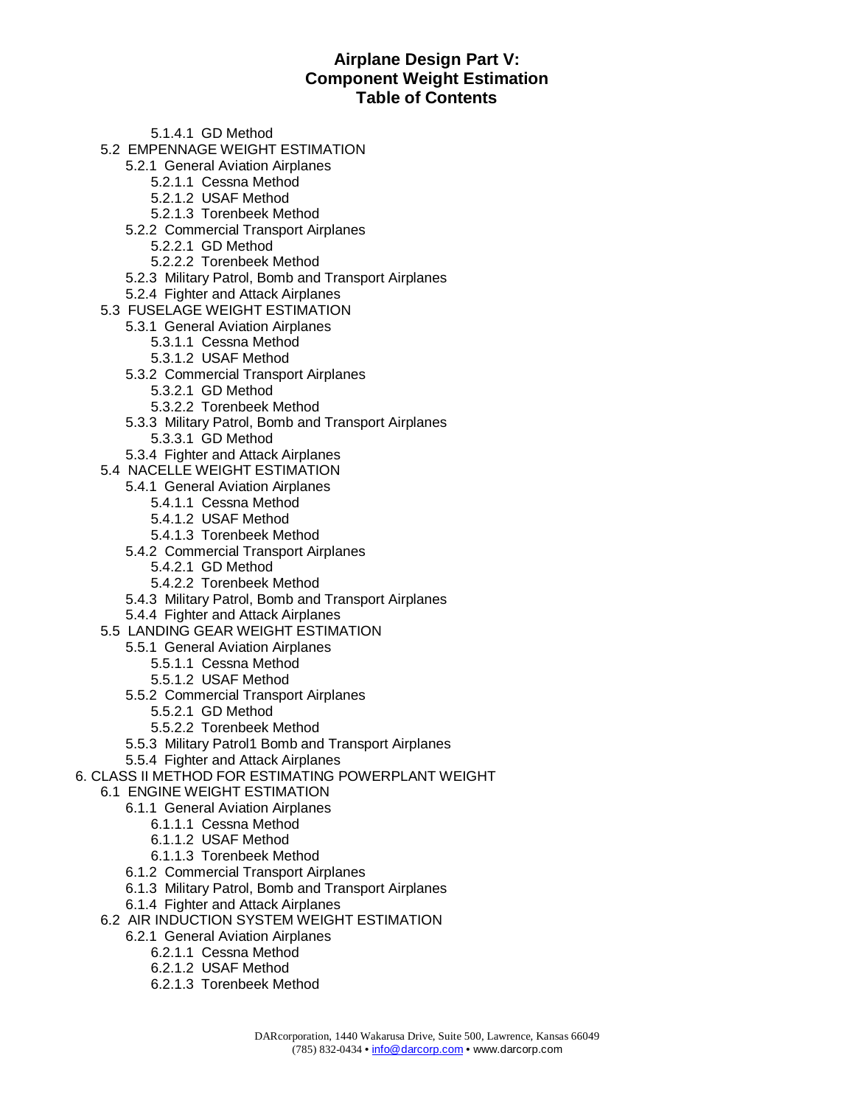5.1.4.1 GD Method 5.2 EMPENNAGE WEIGHT ESTIMATION 5.2.1 General Aviation Airplanes 5.2.1.1 Cessna Method 5.2.1.2 USAF Method 5.2.1.3 Torenbeek Method 5.2.2 Commercial Transport Airplanes 5.2.2.1 GD Method 5.2.2.2 Torenbeek Method 5.2.3 Military Patrol, Bomb and Transport Airplanes 5.2.4 Fighter and Attack Airplanes 5.3 FUSELAGE WEIGHT ESTIMATION 5.3.1 General Aviation Airplanes 5.3.1.1 Cessna Method 5.3.1.2 USAF Method 5.3.2 Commercial Transport Airplanes 5.3.2.1 GD Method 5.3.2.2 Torenbeek Method 5.3.3 Military Patrol, Bomb and Transport Airplanes 5.3.3.1 GD Method 5.3.4 Fighter and Attack Airplanes 5.4 NACELLE WEIGHT ESTIMATION 5.4.1 General Aviation Airplanes 5.4.1.1 Cessna Method 5.4.1.2 USAF Method 5.4.1.3 Torenbeek Method 5.4.2 Commercial Transport Airplanes 5.4.2.1 GD Method 5.4.2.2 Torenbeek Method 5.4.3 Military Patrol, Bomb and Transport Airplanes 5.4.4 Fighter and Attack Airplanes 5.5 LANDING GEAR WEIGHT ESTIMATION 5.5.1 General Aviation Airplanes 5.5.1.1 Cessna Method 5.5.1.2 USAF Method 5.5.2 Commercial Transport Airplanes 5.5.2.1 GD Method 5.5.2.2 Torenbeek Method 5.5.3 Military Patrol1 Bomb and Transport Airplanes 5.5.4 Fighter and Attack Airplanes 6. CLASS II METHOD FOR ESTIMATING POWERPLANT WEIGHT 6.1 ENGINE WEIGHT ESTIMATION 6.1.1 General Aviation Airplanes 6.1.1.1 Cessna Method 6.1.1.2 USAF Method

- 6.1.1.3 Torenbeek Method
- 6.1.2 Commercial Transport Airplanes
- 6.1.3 Military Patrol, Bomb and Transport Airplanes
- 6.1.4 Fighter and Attack Airplanes
- 6.2 AIR INDUCTION SYSTEM WEIGHT ESTIMATION
	- 6.2.1 General Aviation Airplanes
		- 6.2.1.1 Cessna Method
		- 6.2.1.2 USAF Method
		- 6.2.1.3 Torenbeek Method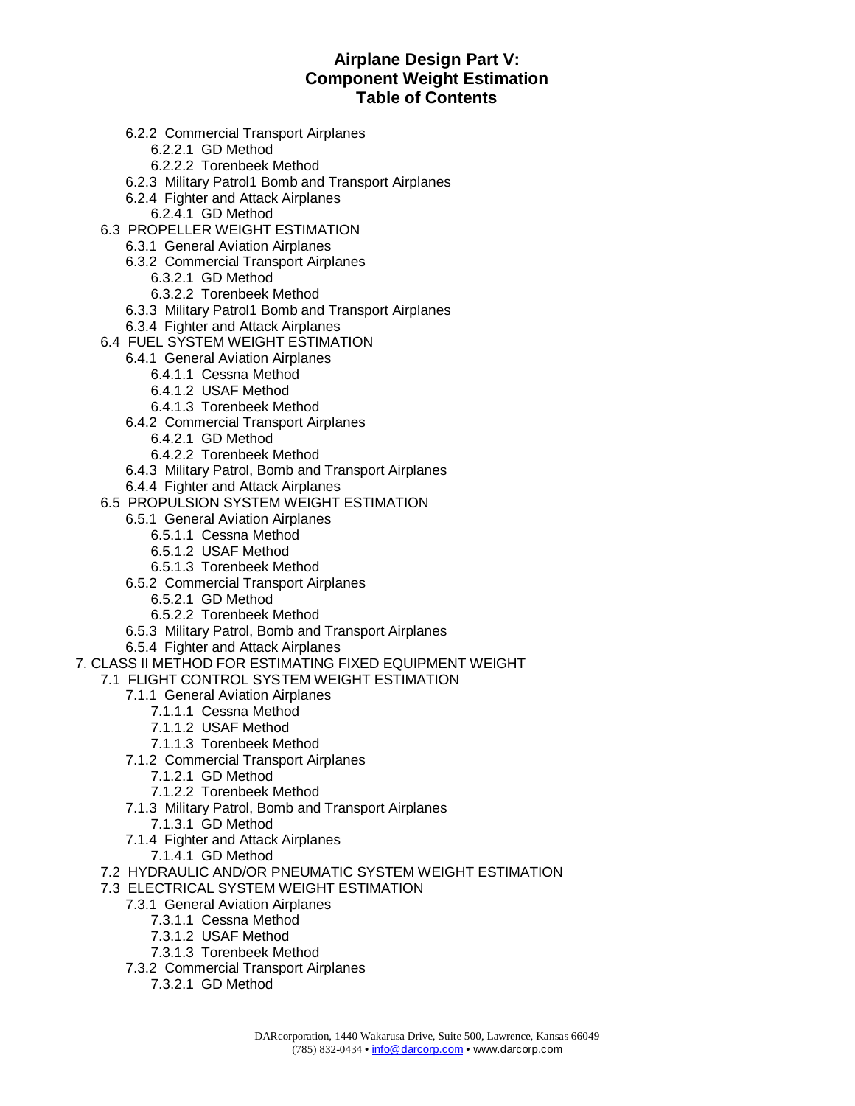- 6.2.2 Commercial Transport Airplanes
	- 6.2.2.1 GD Method
	- 6.2.2.2 Torenbeek Method
- 6.2.3 Military Patrol1 Bomb and Transport Airplanes
- 6.2.4 Fighter and Attack Airplanes
	- 6.2.4.1 GD Method
- 6.3 PROPELLER WEIGHT ESTIMATION
	- 6.3.1 General Aviation Airplanes
		- 6.3.2 Commercial Transport Airplanes
			- 6.3.2.1 GD Method
			- 6.3.2.2 Torenbeek Method
		- 6.3.3 Military Patrol1 Bomb and Transport Airplanes
		- 6.3.4 Fighter and Attack Airplanes
- 6.4 FUEL SYSTEM WEIGHT ESTIMATION
	- 6.4.1 General Aviation Airplanes
		- 6.4.1.1 Cessna Method
		- 6.4.1.2 USAF Method
		- 6.4.1.3 Torenbeek Method
	- 6.4.2 Commercial Transport Airplanes
		- 6.4.2.1 GD Method
		- 6.4.2.2 Torenbeek Method
	- 6.4.3 Military Patrol, Bomb and Transport Airplanes
	- 6.4.4 Fighter and Attack Airplanes
- 6.5 PROPULSION SYSTEM WEIGHT ESTIMATION
	- 6.5.1 General Aviation Airplanes
		- 6.5.1.1 Cessna Method
		- 6.5.1.2 USAF Method
		- 6.5.1.3 Torenbeek Method
		- 6.5.2 Commercial Transport Airplanes
			- 6.5.2.1 GD Method
			- 6.5.2.2 Torenbeek Method
		- 6.5.3 Military Patrol, Bomb and Transport Airplanes
		- 6.5.4 Fighter and Attack Airplanes
- 7. CLASS II METHOD FOR ESTIMATING FIXED EQUIPMENT WEIGHT
- 7.1 FLIGHT CONTROL SYSTEM WEIGHT ESTIMATION
	- 7.1.1 General Aviation Airplanes
		- 7.1.1.1 Cessna Method
		- 7.1.1.2 USAF Method
		- 7.1.1.3 Torenbeek Method
	- 7.1.2 Commercial Transport Airplanes
		- 7.1.2.1 GD Method
		- 7.1.2.2 Torenbeek Method
	- 7.1.3 Military Patrol, Bomb and Transport Airplanes
		- 7.1.3.1 GD Method
	- 7.1.4 Fighter and Attack Airplanes
		- 7.1.4.1 GD Method
	- 7.2 HYDRAULIC AND/OR PNEUMATIC SYSTEM WEIGHT ESTIMATION
	- 7.3 ELECTRICAL SYSTEM WEIGHT ESTIMATION
		- 7.3.1 General Aviation Airplanes
			- 7.3.1.1 Cessna Method
			- 7.3.1.2 USAF Method
			- 7.3.1.3 Torenbeek Method
		- 7.3.2 Commercial Transport Airplanes
			- 7.3.2.1 GD Method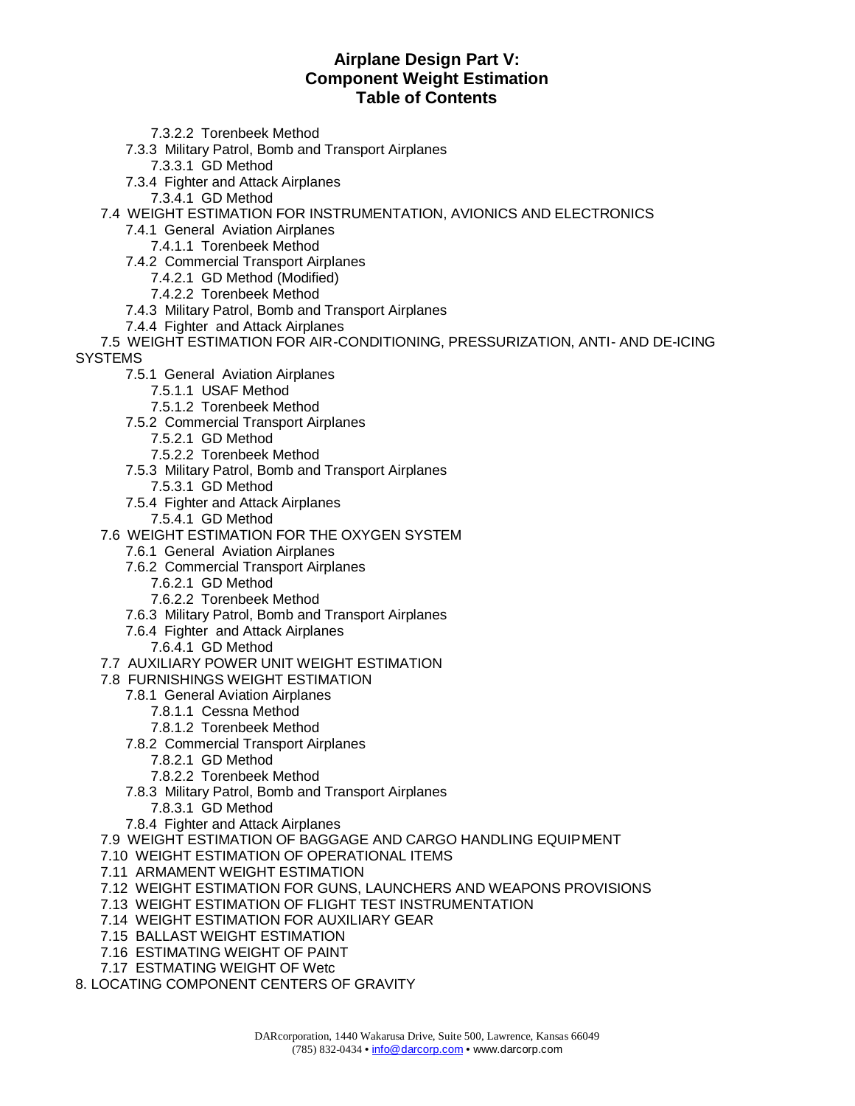7.3.2.2 Torenbeek Method

- 7.3.3 Military Patrol, Bomb and Transport Airplanes
	- 7.3.3.1 GD Method
- 7.3.4 Fighter and Attack Airplanes
	- 7.3.4.1 GD Method

7.4 WEIGHT ESTIMATION FOR INSTRUMENTATION, AVIONICS AND ELECTRONICS

- 7.4.1 General Aviation Airplanes
	- 7.4.1.1 Torenbeek Method
- 7.4.2 Commercial Transport Airplanes
	- 7.4.2.1 GD Method (Modified)
	- 7.4.2.2 Torenbeek Method
- 7.4.3 Military Patrol, Bomb and Transport Airplanes
- 7.4.4 Fighter and Attack Airplanes

7.5 WEIGHT ESTIMATION FOR AIR-CONDITIONING, PRESSURIZATION, ANTI- AND DE-ICING **SYSTEMS** 

- 7.5.1 General Aviation Airplanes
	- 7.5.1.1 USAF Method
	- 7.5.1.2 Torenbeek Method
- 7.5.2 Commercial Transport Airplanes
	- 7.5.2.1 GD Method
	- 7.5.2.2 Torenbeek Method
- 7.5.3 Military Patrol, Bomb and Transport Airplanes
	- 7.5.3.1 GD Method
- 7.5.4 Fighter and Attack Airplanes
	- 7.5.4.1 GD Method
- 7.6 WEIGHT ESTIMATION FOR THE OXYGEN SYSTEM
	- 7.6.1 General Aviation Airplanes
	- 7.6.2 Commercial Transport Airplanes
		- 7.6.2.1 GD Method
		- 7.6.2.2 Torenbeek Method
	- 7.6.3 Military Patrol, Bomb and Transport Airplanes
	- 7.6.4 Fighter and Attack Airplanes
		- 7.6.4.1 GD Method
- 7.7 AUXILIARY POWER UNIT WEIGHT ESTIMATION
- 7.8 FURNISHINGS WEIGHT ESTIMATION
	- 7.8.1 General Aviation Airplanes
		- 7.8.1.1 Cessna Method
		- 7.8.1.2 Torenbeek Method
	- 7.8.2 Commercial Transport Airplanes
		- 7.8.2.1 GD Method
		- 7.8.2.2 Torenbeek Method
	- 7.8.3 Military Patrol, Bomb and Transport Airplanes
		- 7.8.3.1 GD Method
	- 7.8.4 Fighter and Attack Airplanes
- 7.9 WEIGHT ESTIMATION OF BAGGAGE AND CARGO HANDLING EQUIPMENT
- 7.10 WEIGHT ESTIMATION OF OPERATIONAL ITEMS
- 7.11 ARMAMENT WEIGHT ESTIMATION
- 7.12 WEIGHT ESTIMATION FOR GUNS, LAUNCHERS AND WEAPONS PROVISIONS
- 7.13 WEIGHT ESTIMATION OF FLIGHT TEST INSTRUMENTATION
- 7.14 WEIGHT ESTIMATION FOR AUXILIARY GEAR
- 7.15 BALLAST WEIGHT ESTIMATION
- 7.16 ESTIMATING WEIGHT OF PAINT
- 7.17 ESTMATING WEIGHT OF Wetc
- 8. LOCATING COMPONENT CENTERS OF GRAVITY